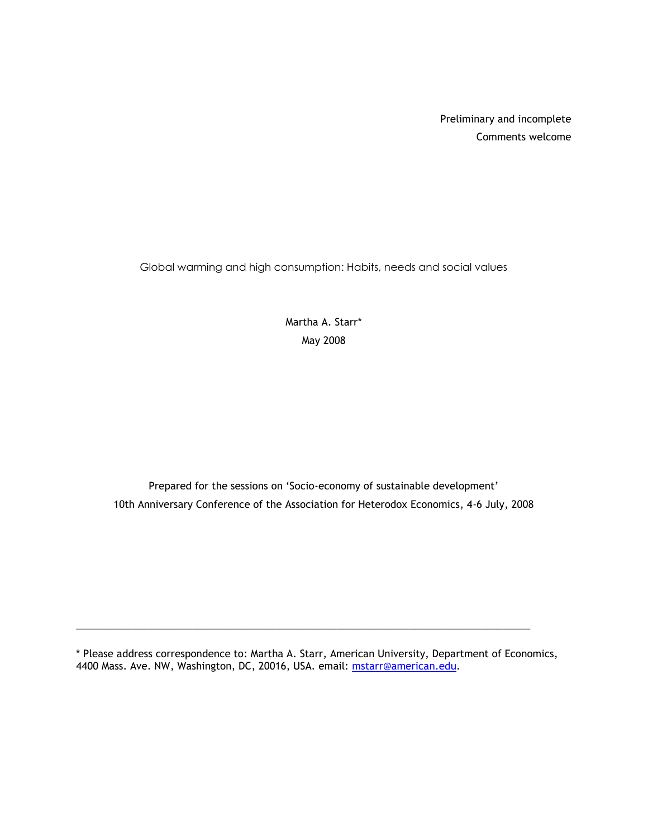Preliminary and incomplete Comments welcome

Global warming and high consumption: Habits, needs and social values

Martha A. Starr\* May 2008

Prepared for the sessions on 'Socio-economy of sustainable development' 10th Anniversary Conference of the Association for Heterodox Economics, 4-6 July, 2008

\* Please address correspondence to: Martha A. Starr, American University, Department of Economics, 4400 Mass. Ave. NW, Washington, DC, 20016, USA. email: [mstarr@american.edu.](mailto:mstarr@american.edu)

\_\_\_\_\_\_\_\_\_\_\_\_\_\_\_\_\_\_\_\_\_\_\_\_\_\_\_\_\_\_\_\_\_\_\_\_\_\_\_\_\_\_\_\_\_\_\_\_\_\_\_\_\_\_\_\_\_\_\_\_\_\_\_\_\_\_\_\_\_\_\_\_\_\_\_\_\_\_\_\_\_\_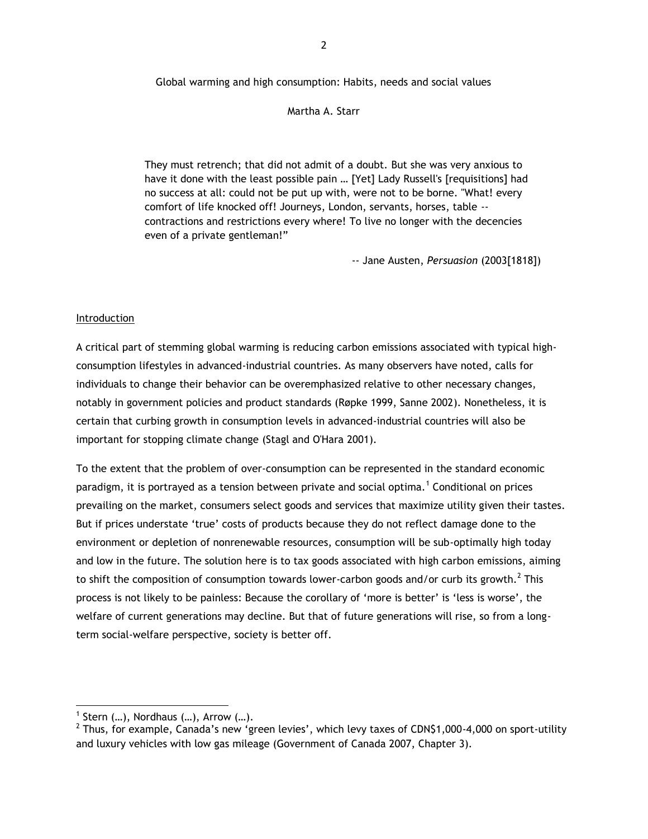Global warming and high consumption: Habits, needs and social values

# Martha A. Starr

They must retrench; that did not admit of a doubt. But she was very anxious to have it done with the least possible pain … [Yet] Lady Russell's [requisitions] had no success at all: could not be put up with, were not to be borne. "What! every comfort of life knocked off! Journeys, London, servants, horses, table - contractions and restrictions every where! To live no longer with the decencies even of a private gentleman!"

-- Jane Austen, *Persuasion* (2003[1818])

# Introduction

A critical part of stemming global warming is reducing carbon emissions associated with typical highconsumption lifestyles in advanced-industrial countries. As many observers have noted, calls for individuals to change their behavior can be overemphasized relative to other necessary changes, notably in government policies and product standards (Røpke 1999, Sanne 2002). Nonetheless, it is certain that curbing growth in consumption levels in advanced-industrial countries will also be important for stopping climate change (Stagl and O'Hara 2001).

To the extent that the problem of over-consumption can be represented in the standard economic paradigm, it is portrayed as a tension between private and social optima. $^{\rm 1}$  Conditional on prices prevailing on the market, consumers select goods and services that maximize utility given their tastes. But if prices understate 'true' costs of products because they do not reflect damage done to the environment or depletion of nonrenewable resources, consumption will be sub-optimally high today and low in the future. The solution here is to tax goods associated with high carbon emissions, aiming to shift the composition of consumption towards lower-carbon goods and/or curb its growth.<sup>2</sup> This process is not likely to be painless: Because the corollary of 'more is better' is 'less is worse', the welfare of current generations may decline. But that of future generations will rise, so from a longterm social-welfare perspective, society is better off.

 1 Stern (…), Nordhaus (…), Arrow (…).

 $^2$  Thus, for example, Canada's new 'green levies', which levy taxes of CDN\$1,000-4,000 on sport-utility and luxury vehicles with low gas mileage (Government of Canada 2007, Chapter 3).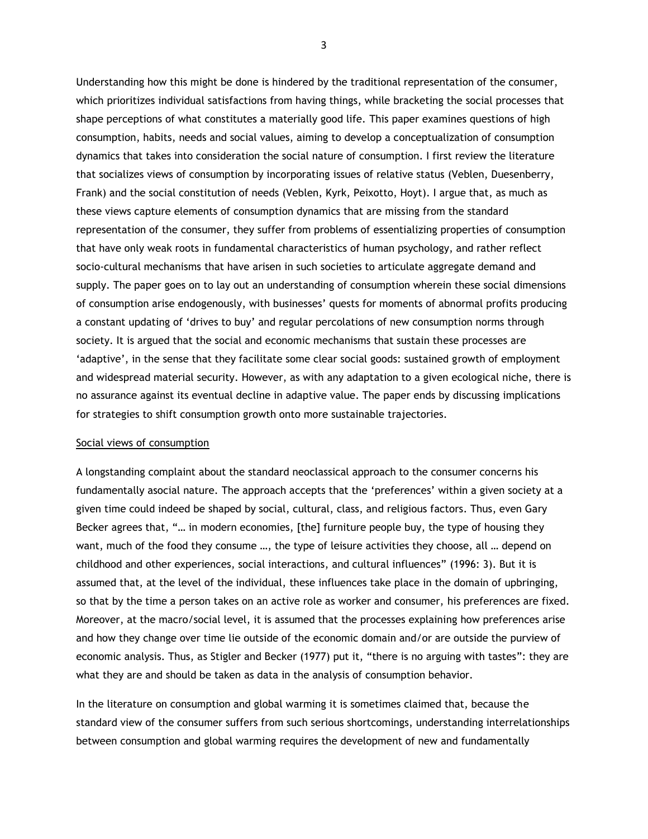Understanding how this might be done is hindered by the traditional representation of the consumer, which prioritizes individual satisfactions from having things, while bracketing the social processes that shape perceptions of what constitutes a materially good life. This paper examines questions of high consumption, habits, needs and social values, aiming to develop a conceptualization of consumption dynamics that takes into consideration the social nature of consumption. I first review the literature that socializes views of consumption by incorporating issues of relative status (Veblen, Duesenberry, Frank) and the social constitution of needs (Veblen, Kyrk, Peixotto, Hoyt). I argue that, as much as these views capture elements of consumption dynamics that are missing from the standard representation of the consumer, they suffer from problems of essentializing properties of consumption that have only weak roots in fundamental characteristics of human psychology, and rather reflect socio-cultural mechanisms that have arisen in such societies to articulate aggregate demand and supply. The paper goes on to lay out an understanding of consumption wherein these social dimensions of consumption arise endogenously, with businesses' quests for moments of abnormal profits producing a constant updating of 'drives to buy' and regular percolations of new consumption norms through society. It is argued that the social and economic mechanisms that sustain these processes are ‗adaptive', in the sense that they facilitate some clear social goods: sustained growth of employment and widespread material security. However, as with any adaptation to a given ecological niche, there is no assurance against its eventual decline in adaptive value. The paper ends by discussing implications for strategies to shift consumption growth onto more sustainable trajectories.

### Social views of consumption

A longstanding complaint about the standard neoclassical approach to the consumer concerns his fundamentally asocial nature. The approach accepts that the 'preferences' within a given society at a given time could indeed be shaped by social, cultural, class, and religious factors. Thus, even Gary Becker agrees that, "... in modern economies, [the] furniture people buy, the type of housing they want, much of the food they consume …, the type of leisure activities they choose, all … depend on childhood and other experiences, social interactions, and cultural influences" (1996: 3). But it is assumed that, at the level of the individual, these influences take place in the domain of upbringing, so that by the time a person takes on an active role as worker and consumer, his preferences are fixed. Moreover, at the macro/social level, it is assumed that the processes explaining how preferences arise and how they change over time lie outside of the economic domain and/or are outside the purview of economic analysis. Thus, as Stigler and Becker (1977) put it, "there is no arguing with tastes": they are what they are and should be taken as data in the analysis of consumption behavior.

In the literature on consumption and global warming it is sometimes claimed that, because the standard view of the consumer suffers from such serious shortcomings, understanding interrelationships between consumption and global warming requires the development of new and fundamentally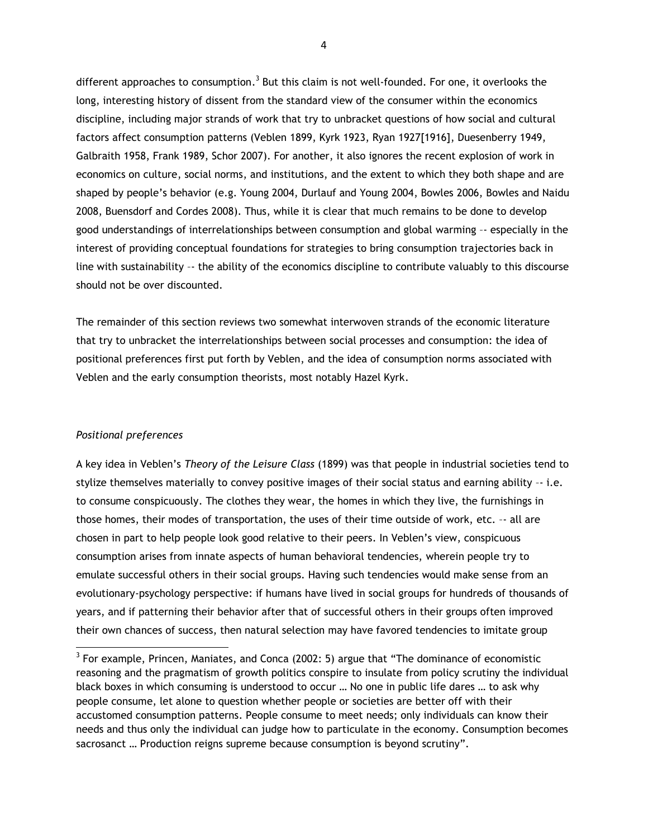different approaches to consumption.<sup>3</sup> But this claim is not well-founded. For one, it overlooks the long, interesting history of dissent from the standard view of the consumer within the economics discipline, including major strands of work that try to unbracket questions of how social and cultural factors affect consumption patterns (Veblen 1899, Kyrk 1923, Ryan 1927[1916], Duesenberry 1949, Galbraith 1958, Frank 1989, Schor 2007). For another, it also ignores the recent explosion of work in economics on culture, social norms, and institutions, and the extent to which they both shape and are shaped by people's behavior (e.g. Young 2004, Durlauf and Young 2004, Bowles 2006, Bowles and Naidu 2008, Buensdorf and Cordes 2008). Thus, while it is clear that much remains to be done to develop good understandings of interrelationships between consumption and global warming –- especially in the interest of providing conceptual foundations for strategies to bring consumption trajectories back in line with sustainability –- the ability of the economics discipline to contribute valuably to this discourse should not be over discounted.

The remainder of this section reviews two somewhat interwoven strands of the economic literature that try to unbracket the interrelationships between social processes and consumption: the idea of positional preferences first put forth by Veblen, and the idea of consumption norms associated with Veblen and the early consumption theorists, most notably Hazel Kyrk.

## *Positional preferences*

 $\overline{\phantom{a}}$ 

A key idea in Veblen's *Theory of the Leisure Class* (1899) was that people in industrial societies tend to stylize themselves materially to convey positive images of their social status and earning ability –- i.e. to consume conspicuously. The clothes they wear, the homes in which they live, the furnishings in those homes, their modes of transportation, the uses of their time outside of work, etc. –- all are chosen in part to help people look good relative to their peers. In Veblen's view, conspicuous consumption arises from innate aspects of human behavioral tendencies, wherein people try to emulate successful others in their social groups. Having such tendencies would make sense from an evolutionary-psychology perspective: if humans have lived in social groups for hundreds of thousands of years, and if patterning their behavior after that of successful others in their groups often improved their own chances of success, then natural selection may have favored tendencies to imitate group

 $3$  For example, Princen, Maniates, and Conca (2002: 5) argue that "The dominance of economistic reasoning and the pragmatism of growth politics conspire to insulate from policy scrutiny the individual black boxes in which consuming is understood to occur … No one in public life dares … to ask why people consume, let alone to question whether people or societies are better off with their accustomed consumption patterns. People consume to meet needs; only individuals can know their needs and thus only the individual can judge how to particulate in the economy. Consumption becomes sacrosanct ... Production reigns supreme because consumption is beyond scrutiny".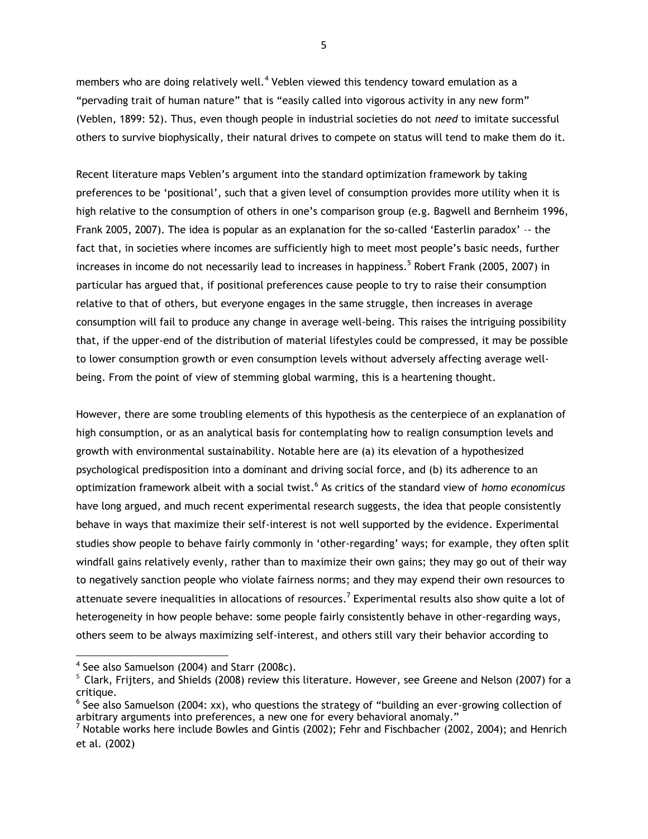members who are doing relatively well.<sup>4</sup> Veblen viewed this tendency toward emulation as a "pervading trait of human nature" that is "easily called into vigorous activity in any new form" (Veblen, 1899: 52). Thus, even though people in industrial societies do not *need* to imitate successful others to survive biophysically, their natural drives to compete on status will tend to make them do it.

Recent literature maps Veblen's argument into the standard optimization framework by taking preferences to be 'positional', such that a given level of consumption provides more utility when it is high relative to the consumption of others in one's comparison group (e.g. Bagwell and Bernheim 1996, Frank 2005, 2007). The idea is popular as an explanation for the so-called 'Easterlin paradox' -- the fact that, in societies where incomes are sufficiently high to meet most people's basic needs, further increases in income do not necessarily lead to increases in happiness. 5 Robert Frank (2005, 2007) in particular has argued that, if positional preferences cause people to try to raise their consumption relative to that of others, but everyone engages in the same struggle, then increases in average consumption will fail to produce any change in average well-being. This raises the intriguing possibility that, if the upper-end of the distribution of material lifestyles could be compressed, it may be possible to lower consumption growth or even consumption levels without adversely affecting average wellbeing. From the point of view of stemming global warming, this is a heartening thought.

However, there are some troubling elements of this hypothesis as the centerpiece of an explanation of high consumption, or as an analytical basis for contemplating how to realign consumption levels and growth with environmental sustainability. Notable here are (a) its elevation of a hypothesized psychological predisposition into a dominant and driving social force, and (b) its adherence to an optimization framework albeit with a social twist. 6 As critics of the standard view of *homo economicus* have long argued, and much recent experimental research suggests, the idea that people consistently behave in ways that maximize their self-interest is not well supported by the evidence. Experimental studies show people to behave fairly commonly in 'other-regarding' ways; for example, they often split windfall gains relatively evenly, rather than to maximize their own gains; they may go out of their way to negatively sanction people who violate fairness norms; and they may expend their own resources to attenuate severe inequalities in allocations of resources.<sup>7</sup> Experimental results also show quite a lot of heterogeneity in how people behave: some people fairly consistently behave in other-regarding ways, others seem to be always maximizing self-interest, and others still vary their behavior according to

 $\overline{\phantom{a}}$ 

<sup>&</sup>lt;sup>4</sup> See also Samuelson (2004) and Starr (2008c).

 $^{\rm 5}$  Clark, Frijters, and Shields (2008) review this literature. However, see Greene and Nelson (2007) for a critique.

 $^6$  See also Samuelson (2004: xx), who questions the strategy of "building an ever-growing collection of arbitrary arguments into preferences, a new one for every behavioral anomaly."

 $^7$  Notable works here include Bowles and Gintis (2002); Fehr and Fischbacher (2002, 2004); and Henrich et al. (2002)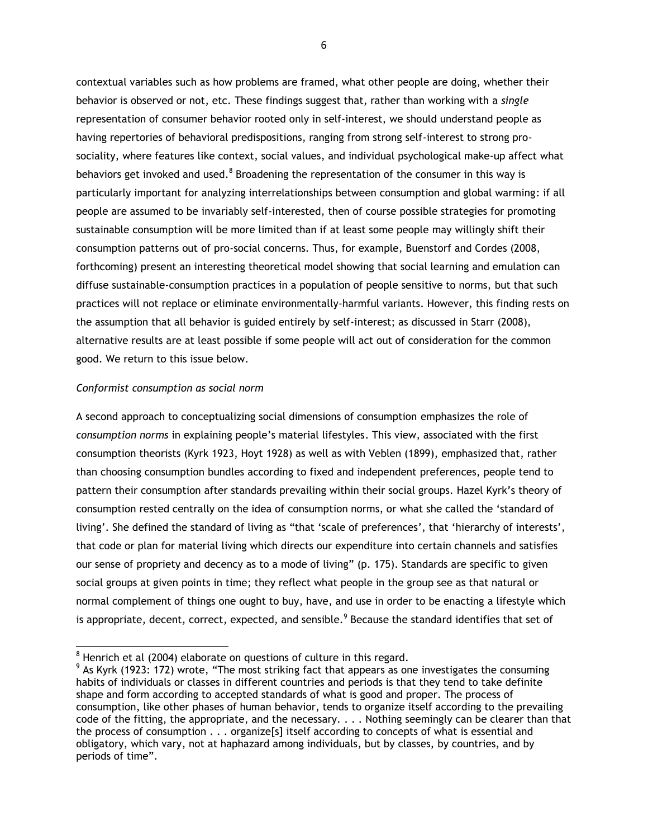contextual variables such as how problems are framed, what other people are doing, whether their behavior is observed or not, etc. These findings suggest that, rather than working with a *single* representation of consumer behavior rooted only in self-interest, we should understand people as having repertories of behavioral predispositions, ranging from strong self-interest to strong prosociality, where features like context, social values, and individual psychological make-up affect what behaviors get invoked and used. $8$  Broadening the representation of the consumer in this way is particularly important for analyzing interrelationships between consumption and global warming: if all people are assumed to be invariably self-interested, then of course possible strategies for promoting sustainable consumption will be more limited than if at least some people may willingly shift their consumption patterns out of pro-social concerns. Thus, for example, Buenstorf and Cordes (2008, forthcoming) present an interesting theoretical model showing that social learning and emulation can diffuse sustainable-consumption practices in a population of people sensitive to norms, but that such practices will not replace or eliminate environmentally-harmful variants. However, this finding rests on the assumption that all behavior is guided entirely by self-interest; as discussed in Starr (2008), alternative results are at least possible if some people will act out of consideration for the common good. We return to this issue below.

#### *Conformist consumption as social norm*

A second approach to conceptualizing social dimensions of consumption emphasizes the role of *consumption norms* in explaining people's material lifestyles. This view, associated with the first consumption theorists (Kyrk 1923, Hoyt 1928) as well as with Veblen (1899), emphasized that, rather than choosing consumption bundles according to fixed and independent preferences, people tend to pattern their consumption after standards prevailing within their social groups. Hazel Kyrk's theory of consumption rested centrally on the idea of consumption norms, or what she called the 'standard of living'. She defined the standard of living as "that 'scale of preferences', that 'hierarchy of interests', that code or plan for material living which directs our expenditure into certain channels and satisfies our sense of propriety and decency as to a mode of living" (p. 175). Standards are specific to given social groups at given points in time; they reflect what people in the group see as that natural or normal complement of things one ought to buy, have, and use in order to be enacting a lifestyle which is appropriate, decent, correct, expected, and sensible. $^9$  Because the standard identifies that set of

 $\overline{\phantom{a}}$  $8$  Henrich et al (2004) elaborate on questions of culture in this regard.

 $9$  As Kyrk (1923: 172) wrote, "The most striking fact that appears as one investigates the consuming habits of individuals or classes in different countries and periods is that they tend to take definite shape and form according to accepted standards of what is good and proper. The process of consumption, like other phases of human behavior, tends to organize itself according to the prevailing code of the fitting, the appropriate, and the necessary. . . . Nothing seemingly can be clearer than that the process of consumption . . . organize[s] itself according to concepts of what is essential and obligatory, which vary, not at haphazard among individuals, but by classes, by countries, and by periods of time".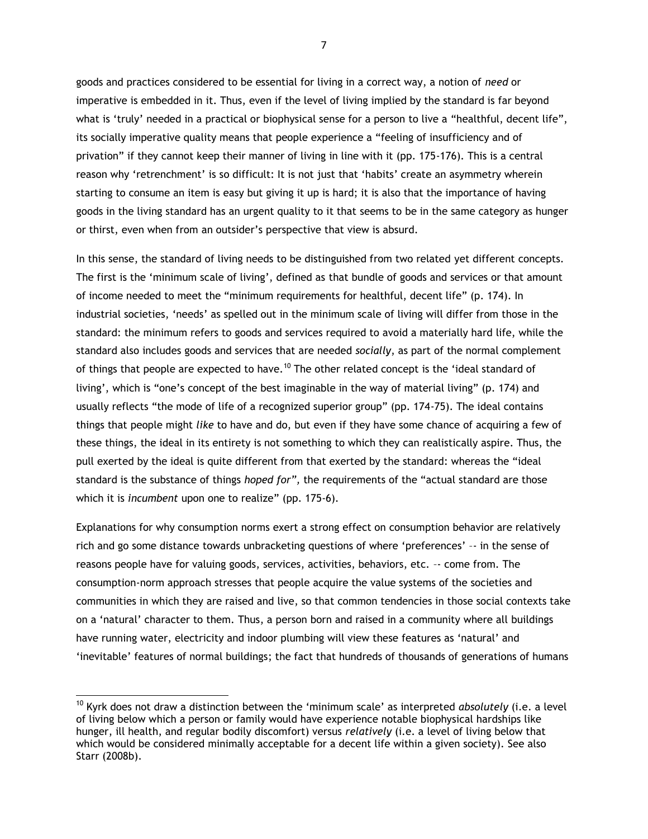goods and practices considered to be essential for living in a correct way, a notion of *need* or imperative is embedded in it. Thus, even if the level of living implied by the standard is far beyond what is 'truly' needed in a practical or biophysical sense for a person to live a "healthful, decent life", its socially imperative quality means that people experience a "feeling of insufficiency and of privation" if they cannot keep their manner of living in line with it (pp. 175-176). This is a central reason why 'retrenchment' is so difficult: It is not just that 'habits' create an asymmetry wherein starting to consume an item is easy but giving it up is hard; it is also that the importance of having goods in the living standard has an urgent quality to it that seems to be in the same category as hunger or thirst, even when from an outsider's perspective that view is absurd.

In this sense, the standard of living needs to be distinguished from two related yet different concepts. The first is the 'minimum scale of living', defined as that bundle of goods and services or that amount of income needed to meet the "minimum requirements for healthful, decent life" (p. 174). In industrial societies, 'needs' as spelled out in the minimum scale of living will differ from those in the standard: the minimum refers to goods and services required to avoid a materially hard life, while the standard also includes goods and services that are needed *socially*, as part of the normal complement of things that people are expected to have.<sup>10</sup> The other related concept is the 'ideal standard of living', which is "one's concept of the best imaginable in the way of material living" (p. 174) and usually reflects "the mode of life of a recognized superior group" (pp. 174-75). The ideal contains things that people might *like* to have and do, but even if they have some chance of acquiring a few of these things, the ideal in its entirety is not something to which they can realistically aspire. Thus, the pull exerted by the ideal is quite different from that exerted by the standard: whereas the "ideal standard is the substance of things *hoped for*", the requirements of the "actual standard are those which it is *incumbent* upon one to realize" (pp. 175-6).

Explanations for why consumption norms exert a strong effect on consumption behavior are relatively rich and go some distance towards unbracketing questions of where 'preferences' -- in the sense of reasons people have for valuing goods, services, activities, behaviors, etc. –- come from. The consumption-norm approach stresses that people acquire the value systems of the societies and communities in which they are raised and live, so that common tendencies in those social contexts take on a 'natural' character to them. Thus, a person born and raised in a community where all buildings have running water, electricity and indoor plumbing will view these features as 'natural' and ‗inevitable' features of normal buildings; the fact that hundreds of thousands of generations of humans

l

<sup>&</sup>lt;sup>10</sup> Kyrk does not draw a distinction between the 'minimum scale' as interpreted *absolutely* (i.e. a level of living below which a person or family would have experience notable biophysical hardships like hunger, ill health, and regular bodily discomfort) versus *relatively* (i.e. a level of living below that which would be considered minimally acceptable for a decent life within a given society). See also Starr (2008b).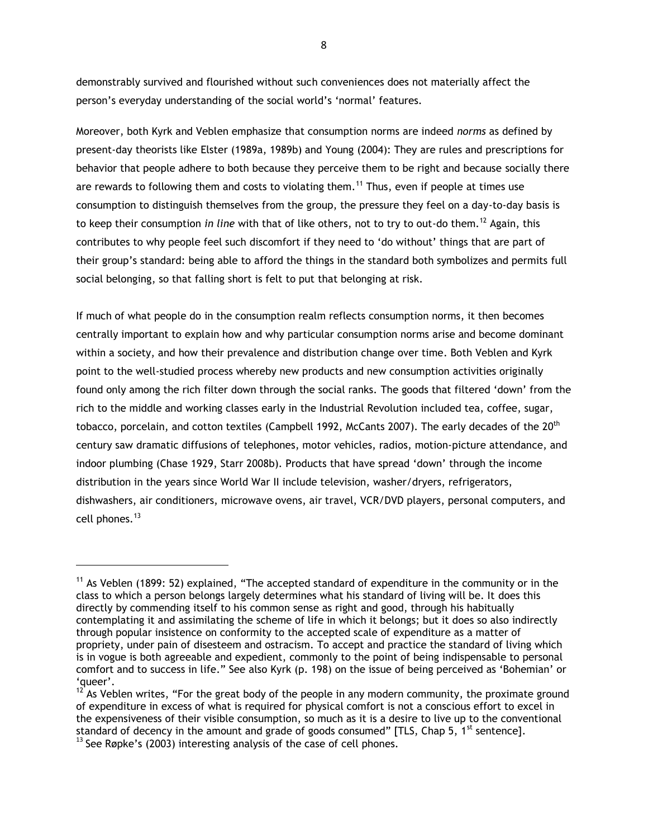demonstrably survived and flourished without such conveniences does not materially affect the person's everyday understanding of the social world's 'normal' features.

Moreover, both Kyrk and Veblen emphasize that consumption norms are indeed *norms* as defined by present-day theorists like Elster (1989a, 1989b) and Young (2004): They are rules and prescriptions for behavior that people adhere to both because they perceive them to be right and because socially there are rewards to following them and costs to violating them.<sup>11</sup> Thus, even if people at times use consumption to distinguish themselves from the group, the pressure they feel on a day-to-day basis is to keep their consumption *in line* with that of like others, not to try to out-do them.<sup>12</sup> Again, this contributes to why people feel such discomfort if they need to 'do without' things that are part of their group's standard: being able to afford the things in the standard both symbolizes and permits full social belonging, so that falling short is felt to put that belonging at risk.

If much of what people do in the consumption realm reflects consumption norms, it then becomes centrally important to explain how and why particular consumption norms arise and become dominant within a society, and how their prevalence and distribution change over time. Both Veblen and Kyrk point to the well-studied process whereby new products and new consumption activities originally found only among the rich filter down through the social ranks. The goods that filtered 'down' from the rich to the middle and working classes early in the Industrial Revolution included tea, coffee, sugar, tobacco, porcelain, and cotton textiles (Campbell 1992, McCants 2007). The early decades of the 20<sup>th</sup> century saw dramatic diffusions of telephones, motor vehicles, radios, motion-picture attendance, and indoor plumbing (Chase 1929, Starr 2008b). Products that have spread 'down' through the income distribution in the years since World War II include television, washer/dryers, refrigerators, dishwashers, air conditioners, microwave ovens, air travel, VCR/DVD players, personal computers, and cell phones.<sup>13</sup>

 $\overline{\phantom{a}}$ 

 $11$  As Veblen (1899: 52) explained, "The accepted standard of expenditure in the community or in the class to which a person belongs largely determines what his standard of living will be. It does this directly by commending itself to his common sense as right and good, through his habitually contemplating it and assimilating the scheme of life in which it belongs; but it does so also indirectly through popular insistence on conformity to the accepted scale of expenditure as a matter of propriety, under pain of disesteem and ostracism. To accept and practice the standard of living which is in vogue is both agreeable and expedient, commonly to the point of being indispensable to personal comfort and to success in life." See also Kyrk (p. 198) on the issue of being perceived as 'Bohemian' or ‗queer'.

 $12$  As Veblen writes, "For the great body of the people in any modern community, the proximate ground of expenditure in excess of what is required for physical comfort is not a conscious effort to excel in the expensiveness of their visible consumption, so much as it is a desire to live up to the conventional standard of decency in the amount and grade of goods consumed" [TLS, Chap 5, 1<sup>st</sup> sentence].

 $13$  See Røpke's (2003) interesting analysis of the case of cell phones.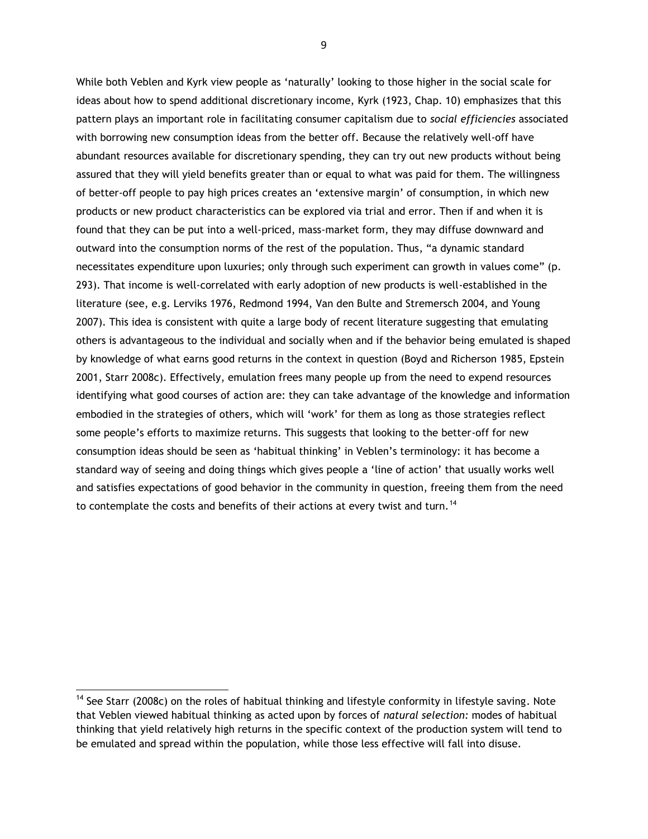While both Veblen and Kyrk view people as 'naturally' looking to those higher in the social scale for ideas about how to spend additional discretionary income, Kyrk (1923, Chap. 10) emphasizes that this pattern plays an important role in facilitating consumer capitalism due to *social efficiencies* associated with borrowing new consumption ideas from the better off. Because the relatively well-off have abundant resources available for discretionary spending, they can try out new products without being assured that they will yield benefits greater than or equal to what was paid for them. The willingness of better-off people to pay high prices creates an 'extensive margin' of consumption, in which new products or new product characteristics can be explored via trial and error. Then if and when it is found that they can be put into a well-priced, mass-market form, they may diffuse downward and outward into the consumption norms of the rest of the population. Thus, "a dynamic standard necessitates expenditure upon luxuries; only through such experiment can growth in values come" (p. 293). That income is well-correlated with early adoption of new products is well-established in the literature (see, e.g. Lerviks 1976, Redmond 1994, Van den Bulte and Stremersch 2004, and Young 2007). This idea is consistent with quite a large body of recent literature suggesting that emulating others is advantageous to the individual and socially when and if the behavior being emulated is shaped by knowledge of what earns good returns in the context in question (Boyd and Richerson 1985, Epstein 2001, Starr 2008c). Effectively, emulation frees many people up from the need to expend resources identifying what good courses of action are: they can take advantage of the knowledge and information embodied in the strategies of others, which will 'work' for them as long as those strategies reflect some people's efforts to maximize returns. This suggests that looking to the better-off for new consumption ideas should be seen as ‗habitual thinking' in Veblen's terminology: it has become a standard way of seeing and doing things which gives people a 'line of action' that usually works well and satisfies expectations of good behavior in the community in question, freeing them from the need to contemplate the costs and benefits of their actions at every twist and turn.<sup>14</sup>

l

<sup>&</sup>lt;sup>14</sup> See Starr (2008c) on the roles of habitual thinking and lifestyle conformity in lifestyle saving. Note that Veblen viewed habitual thinking as acted upon by forces of *natural selection:* modes of habitual thinking that yield relatively high returns in the specific context of the production system will tend to be emulated and spread within the population, while those less effective will fall into disuse.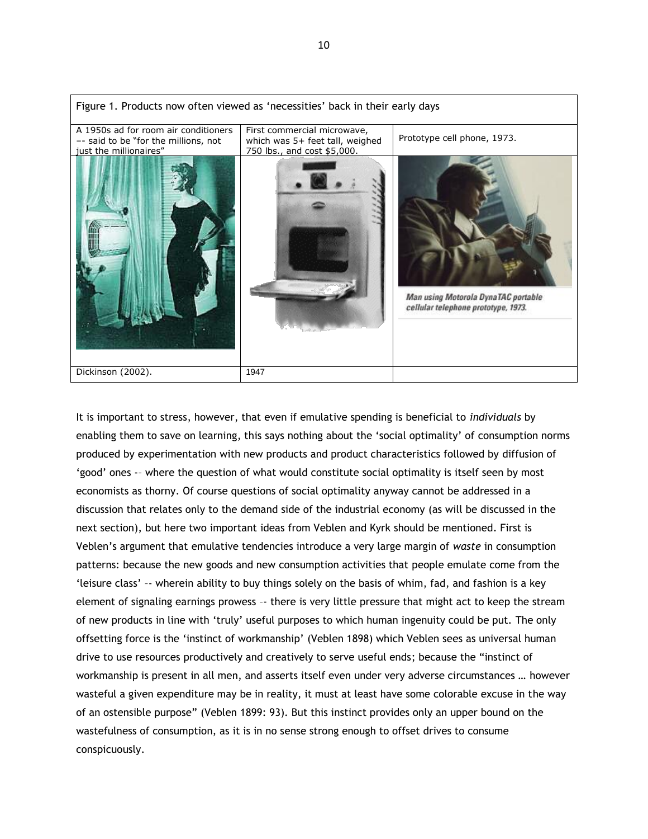

It is important to stress, however, that even if emulative spending is beneficial to *individuals* by enabling them to save on learning, this says nothing about the 'social optimality' of consumption norms produced by experimentation with new products and product characteristics followed by diffusion of ‗good' ones -– where the question of what would constitute social optimality is itself seen by most economists as thorny. Of course questions of social optimality anyway cannot be addressed in a discussion that relates only to the demand side of the industrial economy (as will be discussed in the next section), but here two important ideas from Veblen and Kyrk should be mentioned. First is Veblen's argument that emulative tendencies introduce a very large margin of *waste* in consumption patterns: because the new goods and new consumption activities that people emulate come from the ‗leisure class' –- wherein ability to buy things solely on the basis of whim, fad, and fashion is a key element of signaling earnings prowess –- there is very little pressure that might act to keep the stream of new products in line with 'truly' useful purposes to which human ingenuity could be put. The only offsetting force is the ‗instinct of workmanship' (Veblen 1898) which Veblen sees as universal human drive to use resources productively and creatively to serve useful ends; because the "instinct of workmanship is present in all men, and asserts itself even under very adverse circumstances … however wasteful a given expenditure may be in reality, it must at least have some colorable excuse in the way of an ostensible purpose" (Veblen 1899: 93). But this instinct provides only an upper bound on the wastefulness of consumption, as it is in no sense strong enough to offset drives to consume conspicuously.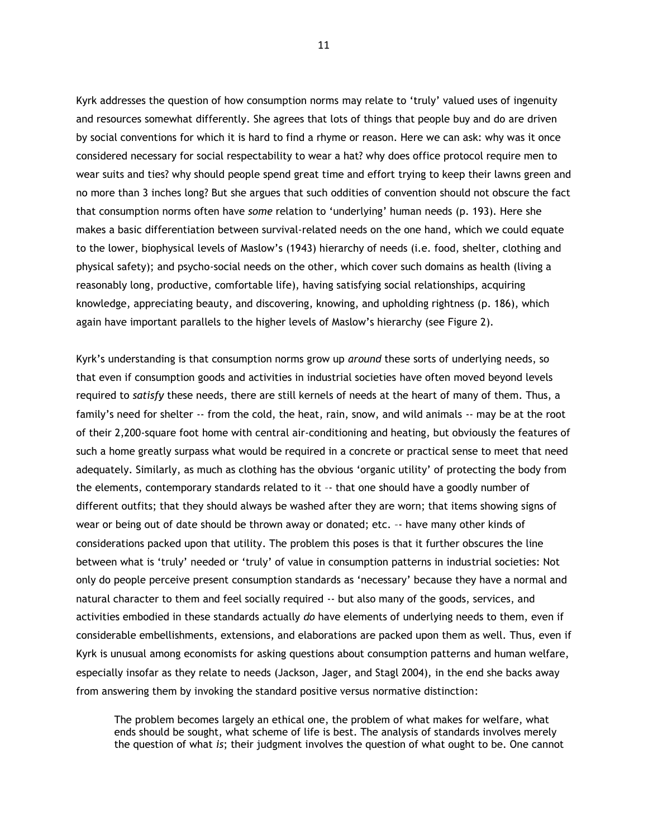Kyrk addresses the question of how consumption norms may relate to 'truly' valued uses of ingenuity and resources somewhat differently. She agrees that lots of things that people buy and do are driven by social conventions for which it is hard to find a rhyme or reason. Here we can ask: why was it once considered necessary for social respectability to wear a hat? why does office protocol require men to wear suits and ties? why should people spend great time and effort trying to keep their lawns green and no more than 3 inches long? But she argues that such oddities of convention should not obscure the fact that consumption norms often have *some* relation to ‗underlying' human needs (p. 193). Here she makes a basic differentiation between survival-related needs on the one hand, which we could equate to the lower, biophysical levels of Maslow's (1943) hierarchy of needs (i.e. food, shelter, clothing and physical safety); and psycho-social needs on the other, which cover such domains as health (living a reasonably long, productive, comfortable life), having satisfying social relationships, acquiring knowledge, appreciating beauty, and discovering, knowing, and upholding rightness (p. 186), which again have important parallels to the higher levels of Maslow's hierarchy (see Figure 2).

Kyrk's understanding is that consumption norms grow up *around* these sorts of underlying needs, so that even if consumption goods and activities in industrial societies have often moved beyond levels required to *satisfy* these needs, there are still kernels of needs at the heart of many of them. Thus, a family's need for shelter -- from the cold, the heat, rain, snow, and wild animals -- may be at the root of their 2,200-square foot home with central air-conditioning and heating, but obviously the features of such a home greatly surpass what would be required in a concrete or practical sense to meet that need adequately. Similarly, as much as clothing has the obvious 'organic utility' of protecting the body from the elements, contemporary standards related to it –- that one should have a goodly number of different outfits; that they should always be washed after they are worn; that items showing signs of wear or being out of date should be thrown away or donated; etc. –- have many other kinds of considerations packed upon that utility. The problem this poses is that it further obscures the line between what is 'truly' needed or 'truly' of value in consumption patterns in industrial societies: Not only do people perceive present consumption standards as 'necessary' because they have a normal and natural character to them and feel socially required -- but also many of the goods, services, and activities embodied in these standards actually *do* have elements of underlying needs to them, even if considerable embellishments, extensions, and elaborations are packed upon them as well. Thus, even if Kyrk is unusual among economists for asking questions about consumption patterns and human welfare, especially insofar as they relate to needs (Jackson, Jager, and Stagl 2004), in the end she backs away from answering them by invoking the standard positive versus normative distinction:

The problem becomes largely an ethical one, the problem of what makes for welfare, what ends should be sought, what scheme of life is best. The analysis of standards involves merely the question of what *is*; their judgment involves the question of what ought to be. One cannot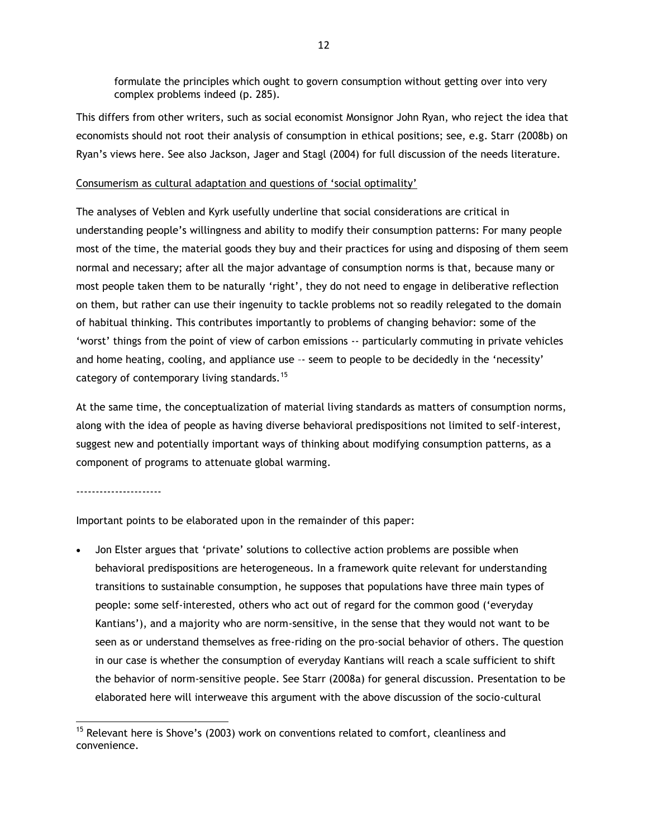formulate the principles which ought to govern consumption without getting over into very complex problems indeed (p. 285).

This differs from other writers, such as social economist Monsignor John Ryan, who reject the idea that economists should not root their analysis of consumption in ethical positions; see, e.g. Starr (2008b) on Ryan's views here. See also Jackson, Jager and Stagl (2004) for full discussion of the needs literature.

### Consumerism as cultural adaptation and questions of 'social optimality'

The analyses of Veblen and Kyrk usefully underline that social considerations are critical in understanding people's willingness and ability to modify their consumption patterns: For many people most of the time, the material goods they buy and their practices for using and disposing of them seem normal and necessary; after all the major advantage of consumption norms is that, because many or most people taken them to be naturally 'right', they do not need to engage in deliberative reflection on them, but rather can use their ingenuity to tackle problems not so readily relegated to the domain of habitual thinking. This contributes importantly to problems of changing behavior: some of the ‗worst' things from the point of view of carbon emissions -- particularly commuting in private vehicles and home heating, cooling, and appliance use -- seem to people to be decidedly in the 'necessity' category of contemporary living standards.<sup>15</sup>

At the same time, the conceptualization of material living standards as matters of consumption norms, along with the idea of people as having diverse behavioral predispositions not limited to self-interest, suggest new and potentially important ways of thinking about modifying consumption patterns, as a component of programs to attenuate global warming.

#### ----------------------

Important points to be elaborated upon in the remainder of this paper:

Jon Elster argues that 'private' solutions to collective action problems are possible when behavioral predispositions are heterogeneous. In a framework quite relevant for understanding transitions to sustainable consumption, he supposes that populations have three main types of people: some self-interested, others who act out of regard for the common good ('everyday Kantians'), and a majority who are norm-sensitive, in the sense that they would not want to be seen as or understand themselves as free-riding on the pro-social behavior of others. The question in our case is whether the consumption of everyday Kantians will reach a scale sufficient to shift the behavior of norm-sensitive people. See Starr (2008a) for general discussion. Presentation to be elaborated here will interweave this argument with the above discussion of the socio-cultural

 $\overline{\phantom{a}}$  $15$  Relevant here is Shove's (2003) work on conventions related to comfort, cleanliness and convenience.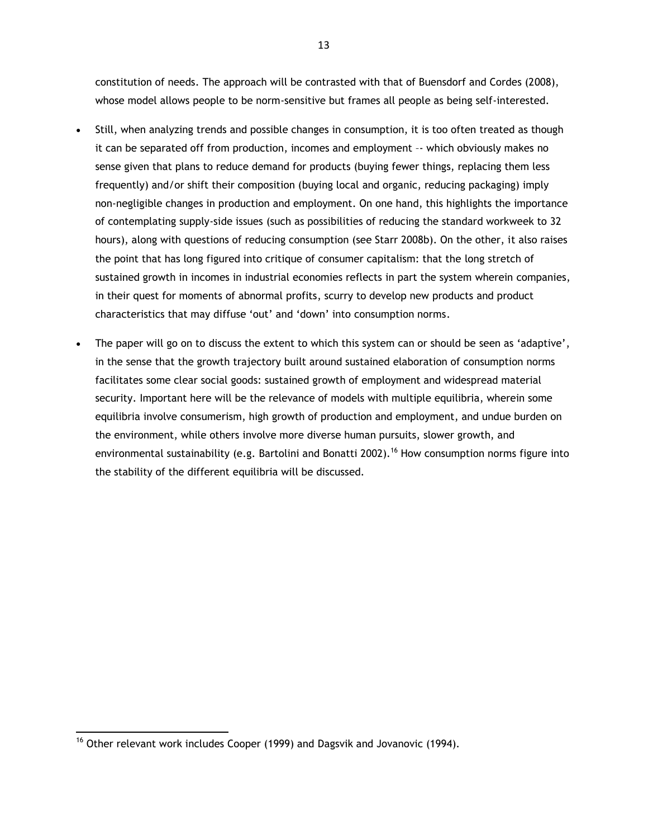constitution of needs. The approach will be contrasted with that of Buensdorf and Cordes (2008), whose model allows people to be norm-sensitive but frames all people as being self-interested.

- Still, when analyzing trends and possible changes in consumption, it is too often treated as though it can be separated off from production, incomes and employment –- which obviously makes no sense given that plans to reduce demand for products (buying fewer things, replacing them less frequently) and/or shift their composition (buying local and organic, reducing packaging) imply non-negligible changes in production and employment. On one hand, this highlights the importance of contemplating supply-side issues (such as possibilities of reducing the standard workweek to 32 hours), along with questions of reducing consumption (see Starr 2008b). On the other, it also raises the point that has long figured into critique of consumer capitalism: that the long stretch of sustained growth in incomes in industrial economies reflects in part the system wherein companies, in their quest for moments of abnormal profits, scurry to develop new products and product characteristics that may diffuse 'out' and 'down' into consumption norms.
- The paper will go on to discuss the extent to which this system can or should be seen as 'adaptive', in the sense that the growth trajectory built around sustained elaboration of consumption norms facilitates some clear social goods: sustained growth of employment and widespread material security. Important here will be the relevance of models with multiple equilibria, wherein some equilibria involve consumerism, high growth of production and employment, and undue burden on the environment, while others involve more diverse human pursuits, slower growth, and environmental sustainability (e.g. Bartolini and Bonatti 2002).<sup>16</sup> How consumption norms figure into the stability of the different equilibria will be discussed.

 $\overline{\phantom{a}}$  $16$  Other relevant work includes Cooper (1999) and Dagsvik and Jovanovic (1994).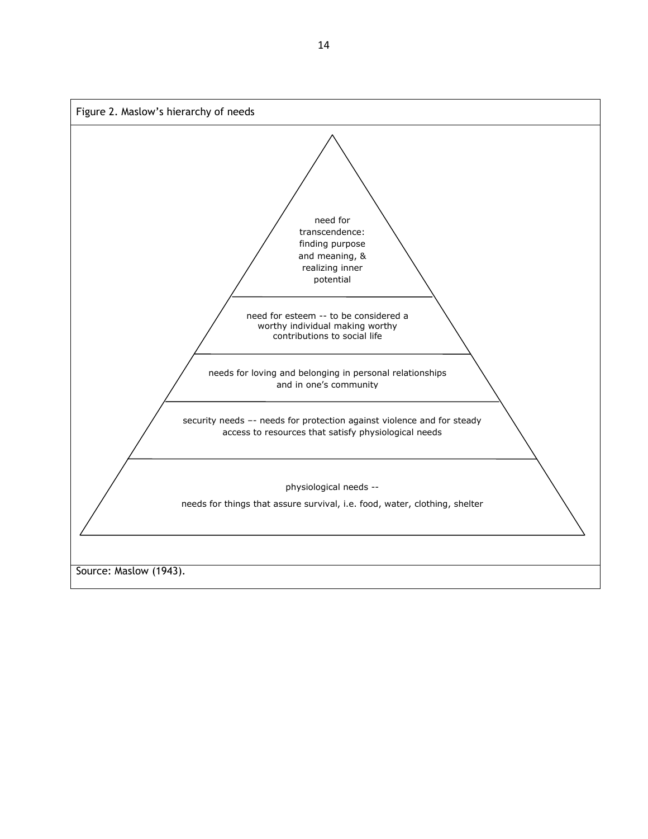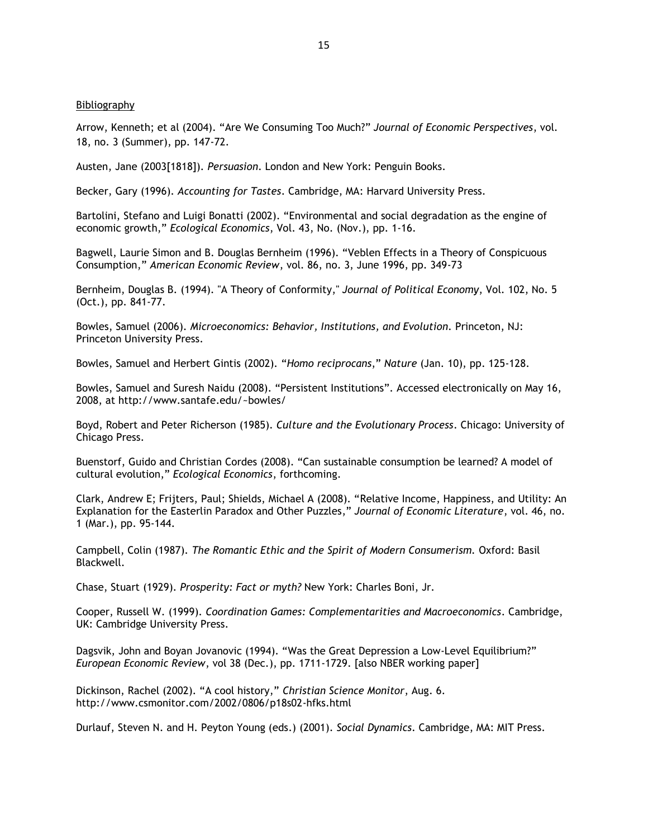### Bibliography

Arrow, Kenneth; et al (2004). "Are We Consuming Too Much?" Journal of Economic Perspectives, vol. 18, no. 3 (Summer), pp. 147-72.

Austen, Jane (2003[1818]). *Persuasion*. London and New York: Penguin Books.

Becker, Gary (1996). *Accounting for Tastes*. Cambridge, MA: Harvard University Press.

Bartolini, Stefano and Luigi Bonatti (2002). "Environmental and social degradation as the engine of economic growth," *Ecological Economics*, Vol. 43, No. (Nov.), pp. 1-16.

Bagwell, Laurie Simon and B. Douglas Bernheim (1996). "Veblen Effects in a Theory of Conspicuous Consumption,‖ *American Economic Review*, vol. 86, no. 3, June 1996, pp. 349-73

Bernheim, Douglas B. (1994). "A Theory of Conformity," *Journal of Political Economy*, Vol. 102, No. 5 (Oct.), pp. 841-77.

Bowles, Samuel (2006). *Microeconomics: Behavior, Institutions, and Evolution*. Princeton, NJ: Princeton University Press.

Bowles, Samuel and Herbert Gintis (2002). "Homo reciprocans," Nature (Jan. 10), pp. 125-128.

Bowles, Samuel and Suresh Naidu (2008). "Persistent Institutions". Accessed electronically on May 16, 2008, at http://www.santafe.edu/~bowles/

Boyd, Robert and Peter Richerson (1985). *Culture and the Evolutionary Process*. Chicago: University of Chicago Press.

Buenstorf, Guido and Christian Cordes (2008). "Can sustainable consumption be learned? A model of cultural evolution,‖ *Ecological Economics*, forthcoming.

Clark, Andrew E; Frijters, Paul; Shields, Michael A (2008). "Relative Income, Happiness, and Utility: An Explanation for the Easterlin Paradox and Other Puzzles," Journal of Economic Literature, vol. 46, no. 1 (Mar.), pp. 95-144.

Campbell, Colin (1987). *The Romantic Ethic and the Spirit of Modern Consumerism.* Oxford: Basil Blackwell.

Chase, Stuart (1929). *Prosperity: Fact or myth?* New York: Charles Boni, Jr.

Cooper, Russell W. (1999). *Coordination Games: Complementarities and Macroeconomics*. Cambridge, UK: Cambridge University Press.

Dagsvik, John and Boyan Jovanovic (1994). "Was the Great Depression a Low-Level Equilibrium?" *European Economic Review*, vol 38 (Dec.), pp. 1711-1729. [also NBER working paper]

Dickinson, Rachel (2002). "A cool history," *Christian Science Monitor*, Aug. 6. http://www.csmonitor.com/2002/0806/p18s02-hfks.html

Durlauf, Steven N. and H. Peyton Young (eds.) (2001). *Social Dynamics*. Cambridge, MA: MIT Press.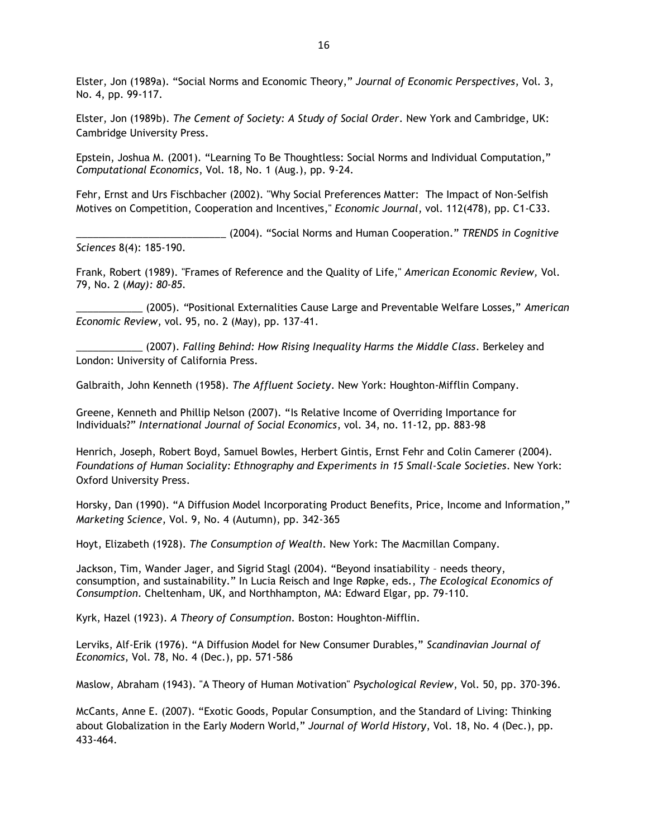Elster, Jon (1989a). "Social Norms and Economic Theory," Journal of Economic Perspectives, Vol. 3, No. 4, pp. 99-117.

Elster, Jon (1989b). *The Cement of Society: A Study of Social Order*. New York and Cambridge, UK: Cambridge University Press.

Epstein, Joshua M. (2001). "Learning To Be Thoughtless: Social Norms and Individual Computation," *Computational Economics*, Vol. 18, No. 1 (Aug.), pp. 9-24.

Fehr, Ernst and Urs Fischbacher (2002). "Why Social Preferences Matter: The Impact of Non-Selfish Motives on Competition, Cooperation and Incentives," *Economic Journal*, vol. 112(478), pp. C1-C33.

\_\_\_\_\_\_\_\_\_\_\_\_\_\_\_\_\_\_\_\_\_\_\_\_\_\_\_ (2004). ―Social Norms and Human Cooperation.‖ *TRENDS in Cognitive Sciences* 8(4): 185-190.

Frank, Robert (1989). "Frames of Reference and the Quality of Life," *American Economic Review,* Vol. 79, No. 2 (*May): 80-85.*

\_\_\_\_\_\_\_\_\_\_\_\_ (2005). *"*Positional Externalities Cause Large and Preventable Welfare Losses,‖ *American Economic Review*, vol. 95, no. 2 (May), pp. 137-41.

\_\_\_\_\_\_\_\_\_\_\_\_ (2007). *Falling Behind: How Rising Inequality Harms the Middle Class*. Berkeley and London: University of California Press.

Galbraith, John Kenneth (1958). *The Affluent Society*. New York: Houghton-Mifflin Company.

Greene, Kenneth and Phillip Nelson (2007). "Is Relative Income of Overriding Importance for Individuals?‖ *International Journal of Social Economics*, vol. 34, no. 11-12, pp. 883-98

Henrich, Joseph, Robert Boyd, Samuel Bowles, Herbert Gintis, Ernst Fehr and Colin Camerer (2004). *Foundations of Human Sociality: Ethnography and Experiments in 15 Small-Scale Societies*. New York: Oxford University Press.

Horsky, Dan (1990). "A Diffusion Model Incorporating Product Benefits, Price, Income and Information," *Marketing Science*, Vol. 9, No. 4 (Autumn), pp. 342-365

Hoyt, Elizabeth (1928). *The Consumption of Wealth*. New York: The Macmillan Company.

Jackson, Tim, Wander Jager, and Sigrid Stagl (2004). "Beyond insatiability - needs theory, consumption, and sustainability.‖ In Lucia Reisch and Inge Røpke, eds., *The Ecological Economics of Consumption*. Cheltenham, UK, and Northhampton, MA: Edward Elgar, pp. 79-110.

Kyrk, Hazel (1923). *A Theory of Consumption*. Boston: Houghton-Mifflin.

Lerviks, Alf-Erik (1976). "A Diffusion Model for New Consumer Durables," Scandinavian Journal of *Economics*, Vol. 78, No. 4 (Dec.), pp. 571-586

Maslow, Abraham (1943). "A Theory of Human Motivation" *Psychological Review*, Vol. 50, pp. 370-396.

McCants, Anne E. (2007). "Exotic Goods, Popular Consumption, and the Standard of Living: Thinking about Globalization in the Early Modern World," Journal of World History, Vol. 18, No. 4 (Dec.), pp. 433-464.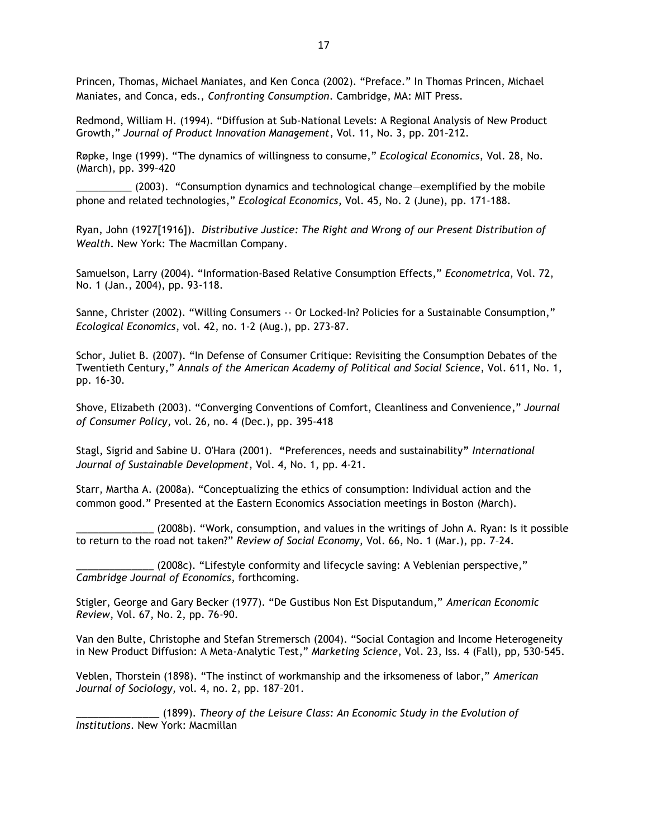Princen, Thomas, Michael Maniates, and Ken Conca (2002). "Preface." In Thomas Princen, Michael Maniates, and Conca, eds., *Confronting Consumption*. Cambridge, MA: MIT Press.

Redmond, William H. (1994). "Diffusion at Sub-National Levels: A Regional Analysis of New Product Growth,‖ *Journal of Product Innovation Management*, Vol. 11, No. 3, pp. 201–212.

Røpke, Inge (1999). "The dynamics of willingness to consume," *Ecological Economics*, Vol. 28, No. (March), pp. 399–420

\_\_\_\_\_\_\_\_\_\_ (2003). ―Consumption dynamics and technological change—exemplified by the mobile phone and related technologies," *Ecological Economics*, Vol. 45, No. 2 (June), pp. 171-188.

Ryan, John (1927[1916]). *Distributive Justice: The Right and Wrong of our Present Distribution of Wealth*. New York: The Macmillan Company.

Samuelson, Larry (2004). "Information-Based Relative Consumption Effects," *Econometrica*, Vol. 72, No. 1 (Jan., 2004), pp. 93-118.

Sanne, Christer (2002). "Willing Consumers -- Or Locked-In? Policies for a Sustainable Consumption," *Ecological Economics*, vol. 42, no. 1-2 (Aug.), pp. 273-87.

Schor, Juliet B. (2007). "In Defense of Consumer Critique: Revisiting the Consumption Debates of the Twentieth Century,‖ *Annals of the American Academy of Political and Social Science*, Vol. 611, No. 1, pp. 16-30.

Shove, Elizabeth (2003). "Converging Conventions of Comfort, Cleanliness and Convenience," Journal *of Consumer Policy*, vol. 26, no. 4 (Dec.), pp. 395-418

Stagl, Sigrid and Sabine U. O'Hara (2001). **"**Preferences, needs and sustainability**"** *International Journal of Sustainable Development*, Vol. 4, No. 1, pp. 4-21.

Starr, Martha A. (2008a). "Conceptualizing the ethics of consumption: Individual action and the common good.‖ Presented at the Eastern Economics Association meetings in Boston (March).

\_\_\_\_\_\_\_\_\_\_\_\_\_\_ (2008b). ―Work, consumption, and values in the writings of John A. Ryan: Is it possible to return to the road not taken?" *Review of Social Economy*, Vol. 66, No. 1 (Mar.), pp. 7-24.

\_\_\_\_\_\_\_\_\_\_\_\_\_\_ (2008c). ―Lifestyle conformity and lifecycle saving: A Veblenian perspective,‖ *Cambridge Journal of Economics*, forthcoming.

Stigler, George and Gary Becker (1977). "De Gustibus Non Est Disputandum," American Economic *Review*, Vol. 67, No. 2, pp. 76-90.

Van den Bulte, Christophe and Stefan Stremersch (2004). "Social Contagion and Income Heterogeneity in New Product Diffusion: A Meta-Analytic Test," Marketing Science, Vol. 23, Iss. 4 (Fall), pp, 530-545.

Veblen, Thorstein (1898). "The instinct of workmanship and the irksomeness of labor," American *Journal of Sociology*, vol. 4, no. 2, pp. 187–201.

\_\_\_\_\_\_\_\_\_\_\_\_\_\_\_ (1899). *Theory of the Leisure Class: An Economic Study in the Evolution of Institutions*. New York: Macmillan